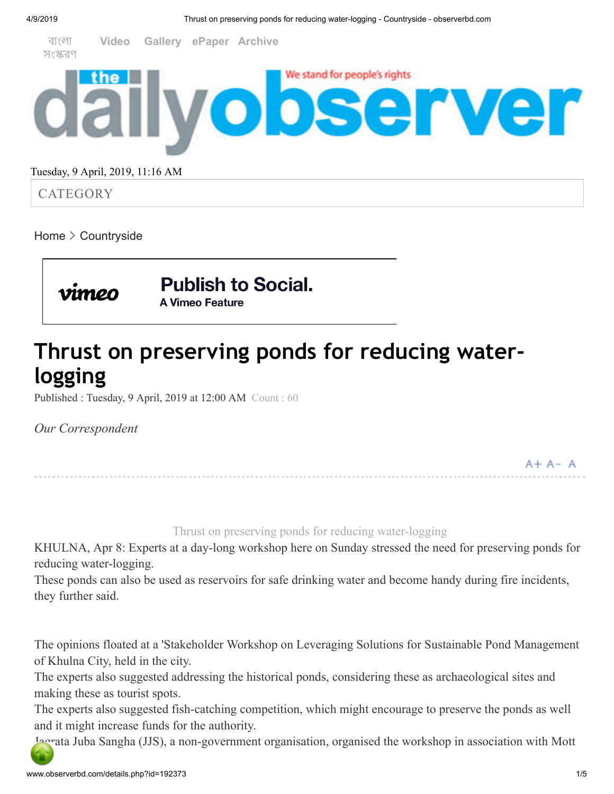

### Tuesday, 9 April, 2019, 11:16 AM

**CATEGORY** 

[Home](http://www.observerbd.com/index.php)  $\geq$  [Countryside](http://www.observerbd.com/cat.php?cd=197)

**Publish to Social.** A Vimeo Feature

# **Thrust on preserving ponds for reducing waterlogging**

Published : Tuesday, 9 April, 2019 at 12:00 AM Count : 60

*Our Correspondent*

 $A + A - A$ 

Thrust on preserving ponds for reducing water-logging

KHULNA, Apr 8: Experts at a day-long workshop here on Sunday stressed the need for preserving ponds for reducing water-logging.

These ponds can also be used as reservoirs for safe drinking water and become handy during fire incidents, they further said.

The opinions floated at a 'Stakeholder Workshop on Leveraging Solutions for Sustainable Pond Management of Khulna City, held in the city.

The experts also suggested addressing the historical ponds, considering these as archaeological sites and making these as tourist spots.

The experts also suggested fish-catching competition, which might encourage to preserve the ponds as well and it might increase funds for the authority.

Jagrata Juba Sangha (JJS), a non-government organisation, organised the workshop in association with Mott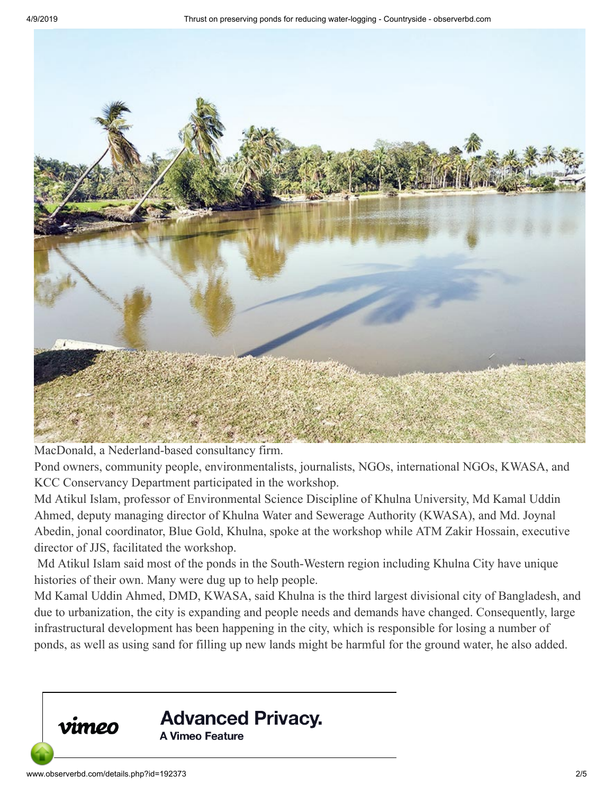

MacDonald, a Nederland-based consultancy firm.

Pond owners, community people, environmentalists, journalists, NGOs, international NGOs, KWASA, and KCC Conservancy Department participated in the workshop.

Md Atikul Islam, professor of Environmental Science Discipline of Khulna University, Md Kamal Uddin Ahmed, deputy managing director of Khulna Water and Sewerage Authority (KWASA), and Md. Joynal Abedin, jonal coordinator, Blue Gold, Khulna, spoke at the workshop while ATM Zakir Hossain, executive director of JJS, facilitated the workshop.

 Md Atikul Islam said most of the ponds in the South-Western region including Khulna City have unique histories of their own. Many were dug up to help people.

Md Kamal Uddin Ahmed, DMD, KWASA, said Khulna is the third largest divisional city of Bangladesh, and due to urbanization, the city is expanding and people needs and demands have changed. Consequently, large infrastructural development has been happening in the city, which is responsible for losing a number of ponds, as well as using sand for filling up new lands might be harmful for the ground water, he also added.

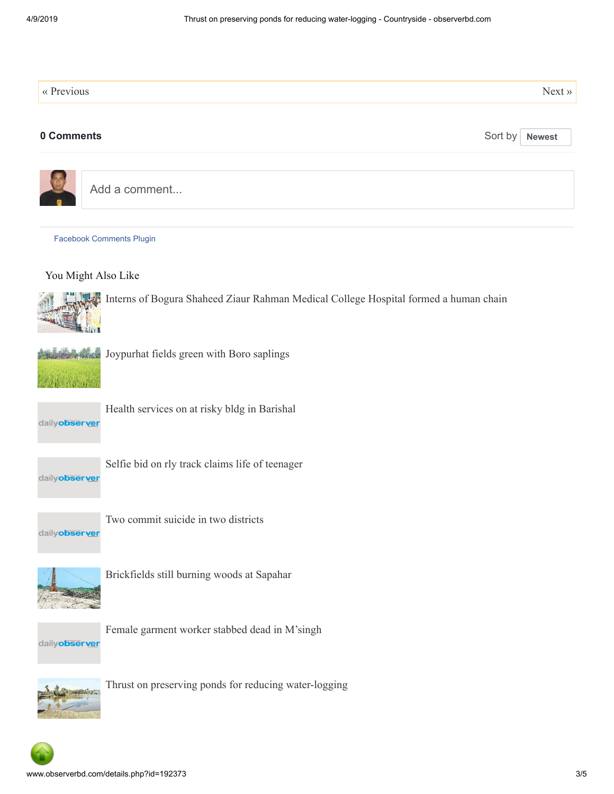| « Previous                                                                           |         | $Next \rightarrow$ |
|--------------------------------------------------------------------------------------|---------|--------------------|
| 0 Comments                                                                           | Sort by | <b>Newest</b>      |
| Add a comment                                                                        |         |                    |
| <b>Facebook Comments Plugin</b>                                                      |         |                    |
| You Might Also Like                                                                  |         |                    |
| Interns of Bogura Shaheed Ziaur Rahman Medical College Hospital formed a human chain |         |                    |
| Joypurhat fields green with Boro saplings<br><b>Arrivan Martin Arrivan</b>           |         |                    |
| Health services on at risky bldg in Barishal<br>dailyobserver                        |         |                    |
| Selfie bid on rly track claims life of teenager<br>dailyobserver                     |         |                    |
| Two commit suicide in two districts<br>dailyobserver                                 |         |                    |
| Brickfields still burning woods at Sapahar                                           |         |                    |
| Female garment worker stabbed dead in M'singh<br>dailyobserver                       |         |                    |
| Thrust on preserving ponds for reducing water-logging                                |         |                    |

 $\bullet$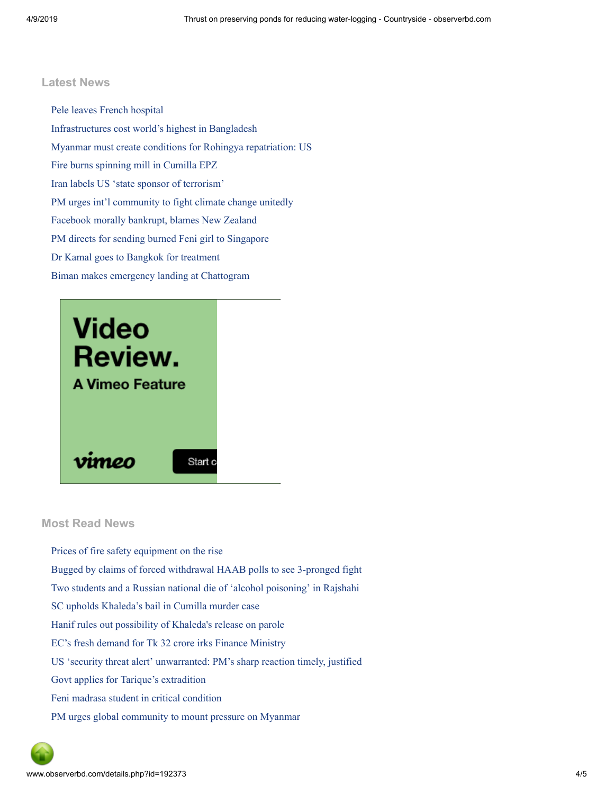#### **Latest News**

[Pele leaves French hospital](http://www.observerbd.com/details.php?id=192499) [Infrastructures cost world's highest in Bangladesh](http://www.observerbd.com/details.php?id=192498) [Myanmar must create conditions for Rohingya repatriation: US](http://www.observerbd.com/details.php?id=192497) [Fire burns spinning mill in Cumilla EPZ](http://www.observerbd.com/details.php?id=192496) [Iran labels US 'state sponsor of terrorism'](http://www.observerbd.com/details.php?id=192495) [PM urges int'l community to fight climate change unitedly](http://www.observerbd.com/details.php?id=192494) [Facebook morally bankrupt, blames New Zealand](http://www.observerbd.com/details.php?id=192381) [PM directs for sending burned Feni girl to Singapore](http://www.observerbd.com/details.php?id=192370) [Dr Kamal goes to Bangkok for treatment](http://www.observerbd.com/details.php?id=192369) [Biman makes emergency landing at Chattogram](http://www.observerbd.com/details.php?id=192368)



#### **Most Read News**

[Prices of fire safety equipment on the rise](http://www.observerbd.com/details.php?id=192319) [Bugged by claims of forced withdrawal HAAB polls to see 3-pronged fight](http://www.observerbd.com/details.php?id=192321) [Two students and a Russian national die of 'alcohol poisoning' in Rajshahi](http://www.observerbd.com/details.php?id=192318) [SC upholds Khaleda's bail in Cumilla murder case](http://www.observerbd.com/details.php?id=192324) [Hanif rules out possibility of Khaleda's release on parole](http://www.observerbd.com/details.php?id=192320) [EC's fresh demand for Tk 32 crore irks Finance Ministry](http://www.observerbd.com/details.php?id=192323) [US 'security threat alert' unwarranted: PM's sharp reaction timely, justified](http://www.observerbd.com/details.php?id=192325) [Govt applies for Tarique's extradition](http://www.observerbd.com/details.php?id=192326) [Feni madrasa student in critical condition](http://www.observerbd.com/details.php?id=192331) [PM urges global community to mount pressure on Myanmar](http://www.observerbd.com/details.php?id=192327)